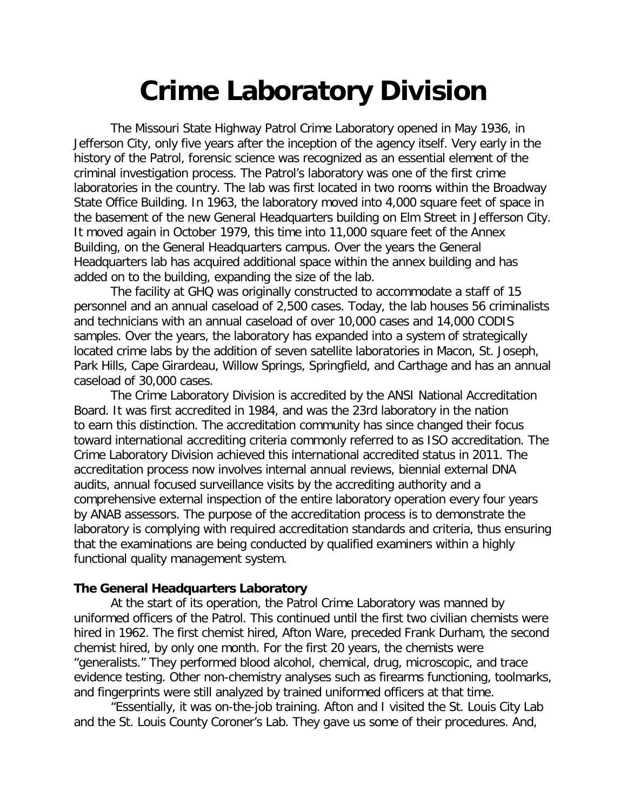# **Crime Laboratory Division**

The Missouri State Highway Patrol Crime Laboratory opened in May 1936, in Jefferson City, only five years after the inception of the agency itself. Very early in the history of the Patrol, forensic science was recognized as an essential element of the criminal investigation process. The Patrol's laboratory was one of the first crime laboratories in the country. The lab was first located in two rooms within the Broadway State Office Building. In 1963, the laboratory moved into 4,000 square feet of space in the basement of the new General Headquarters building on Elm Street in Jefferson City. It moved again in October 1979, this time into 11,000 square feet of the Annex Building, on the General Headquarters campus. Over the years the General Headquarters lab has acquired additional space within the annex building and has added on to the building, expanding the size of the lab.

The facility at GHQ was originally constructed to accommodate a staff of 15 personnel and an annual caseload of 2,500 cases. Today, the lab houses 56 criminalists and technicians with an annual caseload of over 10,000 cases and 14,000 CODIS samples. Over the years, the laboratory has expanded into a system of strategically located crime labs by the addition of seven satellite laboratories in Macon, St. Joseph, Park Hills, Cape Girardeau, Willow Springs, Springfield, and Carthage and has an annual caseload of 30,000 cases.

The Crime Laboratory Division is accredited by the ANSI National Accreditation Board. It was first accredited in 1984, and was the 23rd laboratory in the nation to earn this distinction. The accreditation community has since changed their focus toward international accrediting criteria commonly referred to as ISO accreditation. The Crime Laboratory Division achieved this international accredited status in 2011. The accreditation process now involves internal annual reviews, biennial external DNA audits, annual focused surveillance visits by the accrediting authority and a comprehensive external inspection of the entire laboratory operation every four years by ANAB assessors. The purpose of the accreditation process is to demonstrate the laboratory is complying with required accreditation standards and criteria, thus ensuring that the examinations are being conducted by qualified examiners within a highly functional quality management system.

# **The General Headquarters Laboratory**

At the start of its operation, the Patrol Crime Laboratory was manned by uniformed officers of the Patrol. This continued until the first two civilian chemists were hired in 1962. The first chemist hired, Afton Ware, preceded Frank Durham, the second chemist hired, by only one month. For the first 20 years, the chemists were "generalists." They performed blood alcohol, chemical, drug, microscopic, and trace evidence testing. Other non-chemistry analyses such as firearms functioning, toolmarks, and fingerprints were still analyzed by trained uniformed officers at that time.

"Essentially, it was on-the-job training. Afton and I visited the St. Louis City Lab and the St. Louis County Coroner's Lab. They gave us some of their procedures. And,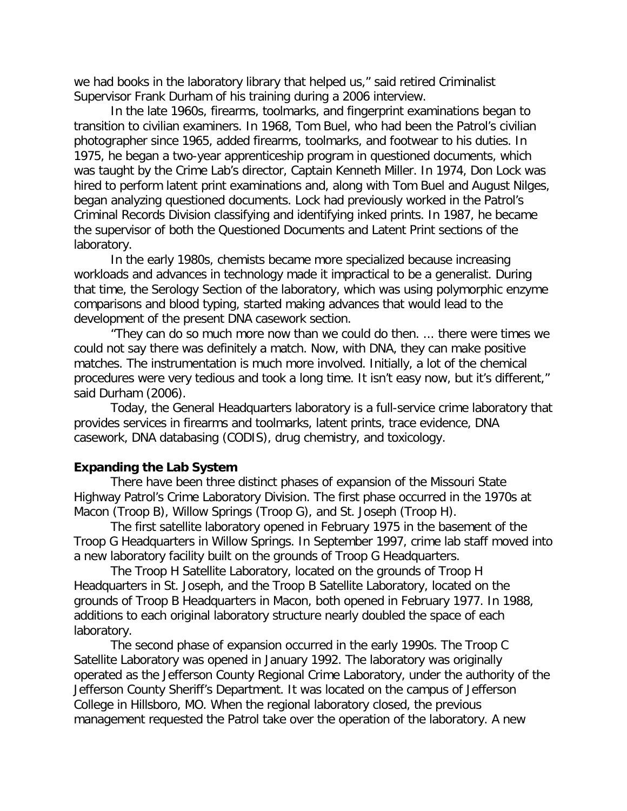we had books in the laboratory library that helped us," said retired Criminalist Supervisor Frank Durham of his training during a 2006 interview.

In the late 1960s, firearms, toolmarks, and fingerprint examinations began to transition to civilian examiners. In 1968, Tom Buel, who had been the Patrol's civilian photographer since 1965, added firearms, toolmarks, and footwear to his duties. In 1975, he began a two-year apprenticeship program in questioned documents, which was taught by the Crime Lab's director, Captain Kenneth Miller. In 1974, Don Lock was hired to perform latent print examinations and, along with Tom Buel and August Nilges, began analyzing questioned documents. Lock had previously worked in the Patrol's Criminal Records Division classifying and identifying inked prints. In 1987, he became the supervisor of both the Questioned Documents and Latent Print sections of the laboratory.

In the early 1980s, chemists became more specialized because increasing workloads and advances in technology made it impractical to be a generalist. During that time, the Serology Section of the laboratory, which was using polymorphic enzyme comparisons and blood typing, started making advances that would lead to the development of the present DNA casework section.

"They can do so much more now than we could do then. ... there were times we could not say there was definitely a match. Now, with DNA, they can make positive matches. The instrumentation is much more involved. Initially, a lot of the chemical procedures were very tedious and took a long time. It isn't easy now, but it's different," said Durham (2006).

Today, the General Headquarters laboratory is a full-service crime laboratory that provides services in firearms and toolmarks, latent prints, trace evidence, DNA casework, DNA databasing (CODIS), drug chemistry, and toxicology.

# **Expanding the Lab System**

There have been three distinct phases of expansion of the Missouri State Highway Patrol's Crime Laboratory Division. The first phase occurred in the 1970s at Macon (Troop B), Willow Springs (Troop G), and St. Joseph (Troop H).

The first satellite laboratory opened in February 1975 in the basement of the Troop G Headquarters in Willow Springs. In September 1997, crime lab staff moved into a new laboratory facility built on the grounds of Troop G Headquarters.

The Troop H Satellite Laboratory, located on the grounds of Troop H Headquarters in St. Joseph, and the Troop B Satellite Laboratory, located on the grounds of Troop B Headquarters in Macon, both opened in February 1977. In 1988, additions to each original laboratory structure nearly doubled the space of each laboratory.

The second phase of expansion occurred in the early 1990s. The Troop C Satellite Laboratory was opened in January 1992. The laboratory was originally operated as the Jefferson County Regional Crime Laboratory, under the authority of the Jefferson County Sheriff's Department. It was located on the campus of Jefferson College in Hillsboro, MO. When the regional laboratory closed, the previous management requested the Patrol take over the operation of the laboratory. A new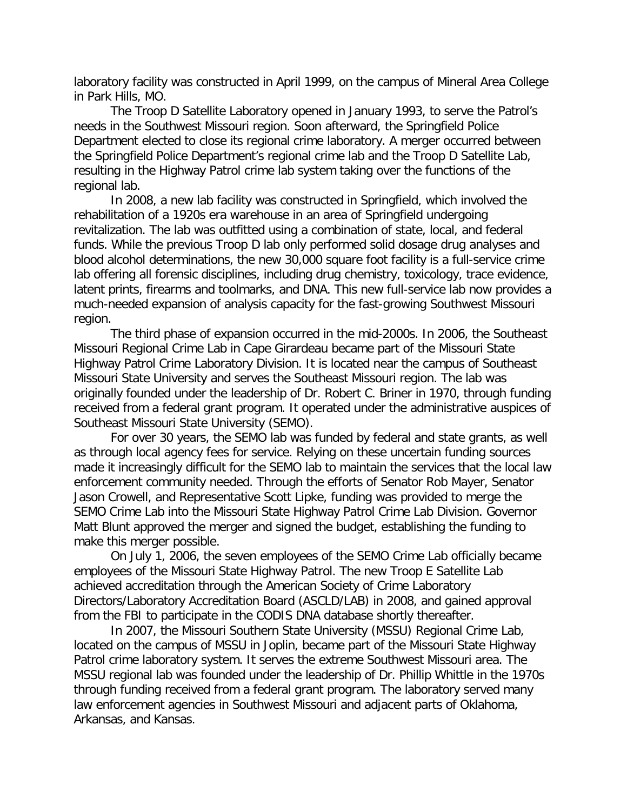laboratory facility was constructed in April 1999, on the campus of Mineral Area College in Park Hills, MO.

The Troop D Satellite Laboratory opened in January 1993, to serve the Patrol's needs in the Southwest Missouri region. Soon afterward, the Springfield Police Department elected to close its regional crime laboratory. A merger occurred between the Springfield Police Department's regional crime lab and the Troop D Satellite Lab, resulting in the Highway Patrol crime lab system taking over the functions of the regional lab.

In 2008, a new lab facility was constructed in Springfield, which involved the rehabilitation of a 1920s era warehouse in an area of Springfield undergoing revitalization. The lab was outfitted using a combination of state, local, and federal funds. While the previous Troop D lab only performed solid dosage drug analyses and blood alcohol determinations, the new 30,000 square foot facility is a full-service crime lab offering all forensic disciplines, including drug chemistry, toxicology, trace evidence, latent prints, firearms and toolmarks, and DNA. This new full-service lab now provides a much-needed expansion of analysis capacity for the fast-growing Southwest Missouri region.

The third phase of expansion occurred in the mid-2000s. In 2006, the Southeast Missouri Regional Crime Lab in Cape Girardeau became part of the Missouri State Highway Patrol Crime Laboratory Division. It is located near the campus of Southeast Missouri State University and serves the Southeast Missouri region. The lab was originally founded under the leadership of Dr. Robert C. Briner in 1970, through funding received from a federal grant program. It operated under the administrative auspices of Southeast Missouri State University (SEMO).

For over 30 years, the SEMO lab was funded by federal and state grants, as well as through local agency fees for service. Relying on these uncertain funding sources made it increasingly difficult for the SEMO lab to maintain the services that the local law enforcement community needed. Through the efforts of Senator Rob Mayer, Senator Jason Crowell, and Representative Scott Lipke, funding was provided to merge the SEMO Crime Lab into the Missouri State Highway Patrol Crime Lab Division. Governor Matt Blunt approved the merger and signed the budget, establishing the funding to make this merger possible.

On July 1, 2006, the seven employees of the SEMO Crime Lab officially became employees of the Missouri State Highway Patrol. The new Troop E Satellite Lab achieved accreditation through the American Society of Crime Laboratory Directors/Laboratory Accreditation Board (ASCLD/LAB) in 2008, and gained approval from the FBI to participate in the CODIS DNA database shortly thereafter.

In 2007, the Missouri Southern State University (MSSU) Regional Crime Lab, located on the campus of MSSU in Joplin, became part of the Missouri State Highway Patrol crime laboratory system. It serves the extreme Southwest Missouri area. The MSSU regional lab was founded under the leadership of Dr. Phillip Whittle in the 1970s through funding received from a federal grant program. The laboratory served many law enforcement agencies in Southwest Missouri and adjacent parts of Oklahoma, Arkansas, and Kansas.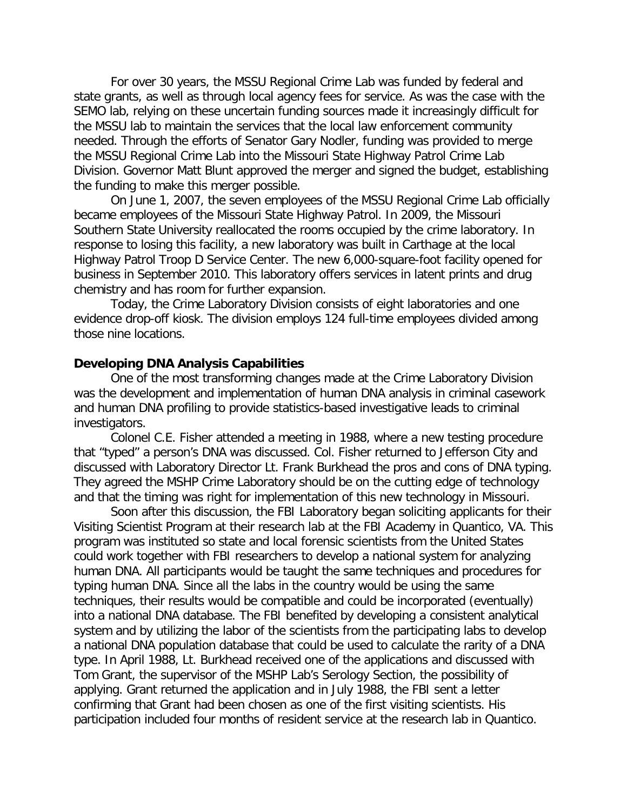For over 30 years, the MSSU Regional Crime Lab was funded by federal and state grants, as well as through local agency fees for service. As was the case with the SEMO lab, relying on these uncertain funding sources made it increasingly difficult for the MSSU lab to maintain the services that the local law enforcement community needed. Through the efforts of Senator Gary Nodler, funding was provided to merge the MSSU Regional Crime Lab into the Missouri State Highway Patrol Crime Lab Division. Governor Matt Blunt approved the merger and signed the budget, establishing the funding to make this merger possible.

On June 1, 2007, the seven employees of the MSSU Regional Crime Lab officially became employees of the Missouri State Highway Patrol. In 2009, the Missouri Southern State University reallocated the rooms occupied by the crime laboratory. In response to losing this facility, a new laboratory was built in Carthage at the local Highway Patrol Troop D Service Center. The new 6,000-square-foot facility opened for business in September 2010. This laboratory offers services in latent prints and drug chemistry and has room for further expansion.

Today, the Crime Laboratory Division consists of eight laboratories and one evidence drop-off kiosk. The division employs 124 full-time employees divided among those nine locations.

## **Developing DNA Analysis Capabilities**

One of the most transforming changes made at the Crime Laboratory Division was the development and implementation of human DNA analysis in criminal casework and human DNA profiling to provide statistics-based investigative leads to criminal investigators.

Colonel C.E. Fisher attended a meeting in 1988, where a new testing procedure that "typed" a person's DNA was discussed. Col. Fisher returned to Jefferson City and discussed with Laboratory Director Lt. Frank Burkhead the pros and cons of DNA typing. They agreed the MSHP Crime Laboratory should be on the cutting edge of technology and that the timing was right for implementation of this new technology in Missouri.

Soon after this discussion, the FBI Laboratory began soliciting applicants for their Visiting Scientist Program at their research lab at the FBI Academy in Quantico, VA. This program was instituted so state and local forensic scientists from the United States could work together with FBI researchers to develop a national system for analyzing human DNA. All participants would be taught the same techniques and procedures for typing human DNA. Since all the labs in the country would be using the same techniques, their results would be compatible and could be incorporated (eventually) into a national DNA database. The FBI benefited by developing a consistent analytical system and by utilizing the labor of the scientists from the participating labs to develop a national DNA population database that could be used to calculate the rarity of a DNA type. In April 1988, Lt. Burkhead received one of the applications and discussed with Tom Grant, the supervisor of the MSHP Lab's Serology Section, the possibility of applying. Grant returned the application and in July 1988, the FBI sent a letter confirming that Grant had been chosen as one of the first visiting scientists. His participation included four months of resident service at the research lab in Quantico.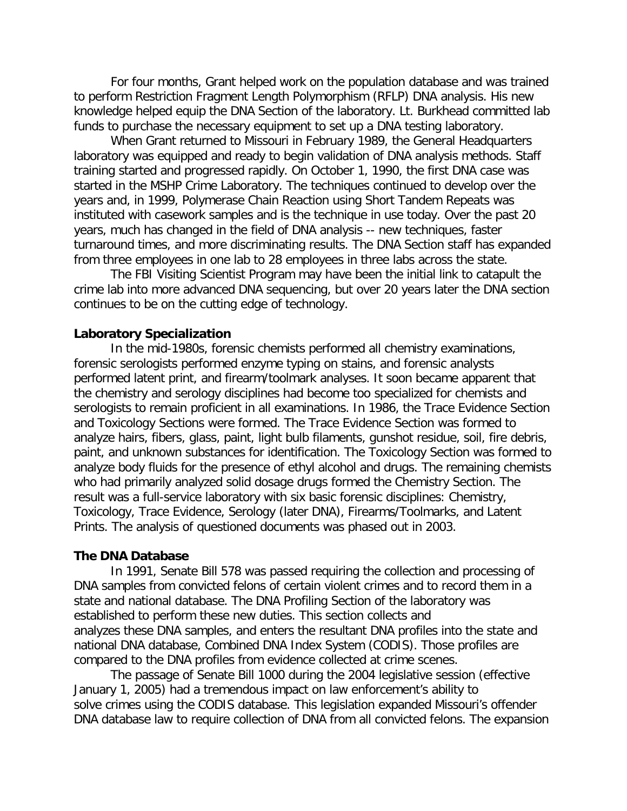For four months, Grant helped work on the population database and was trained to perform Restriction Fragment Length Polymorphism (RFLP) DNA analysis. His new knowledge helped equip the DNA Section of the laboratory. Lt. Burkhead committed lab funds to purchase the necessary equipment to set up a DNA testing laboratory.

When Grant returned to Missouri in February 1989, the General Headquarters laboratory was equipped and ready to begin validation of DNA analysis methods. Staff training started and progressed rapidly. On October 1, 1990, the first DNA case was started in the MSHP Crime Laboratory. The techniques continued to develop over the years and, in 1999, Polymerase Chain Reaction using Short Tandem Repeats was instituted with casework samples and is the technique in use today. Over the past 20 years, much has changed in the field of DNA analysis -- new techniques, faster turnaround times, and more discriminating results. The DNA Section staff has expanded from three employees in one lab to 28 employees in three labs across the state.

The FBI Visiting Scientist Program may have been the initial link to catapult the crime lab into more advanced DNA sequencing, but over 20 years later the DNA section continues to be on the cutting edge of technology.

# **Laboratory Specialization**

In the mid-1980s, forensic chemists performed all chemistry examinations, forensic serologists performed enzyme typing on stains, and forensic analysts performed latent print, and firearm/toolmark analyses. It soon became apparent that the chemistry and serology disciplines had become too specialized for chemists and serologists to remain proficient in all examinations. In 1986, the Trace Evidence Section and Toxicology Sections were formed. The Trace Evidence Section was formed to analyze hairs, fibers, glass, paint, light bulb filaments, gunshot residue, soil, fire debris, paint, and unknown substances for identification. The Toxicology Section was formed to analyze body fluids for the presence of ethyl alcohol and drugs. The remaining chemists who had primarily analyzed solid dosage drugs formed the Chemistry Section. The result was a full-service laboratory with six basic forensic disciplines: Chemistry, Toxicology, Trace Evidence, Serology (later DNA), Firearms/Toolmarks, and Latent Prints. The analysis of questioned documents was phased out in 2003.

#### **The DNA Database**

In 1991, Senate Bill 578 was passed requiring the collection and processing of DNA samples from convicted felons of certain violent crimes and to record them in a state and national database. The DNA Profiling Section of the laboratory was established to perform these new duties. This section collects and analyzes these DNA samples, and enters the resultant DNA profiles into the state and national DNA database, Combined DNA Index System (CODIS). Those profiles are compared to the DNA profiles from evidence collected at crime scenes.

The passage of Senate Bill 1000 during the 2004 legislative session (effective January 1, 2005) had a tremendous impact on law enforcement's ability to solve crimes using the CODIS database. This legislation expanded Missouri's offender DNA database law to require collection of DNA from all convicted felons. The expansion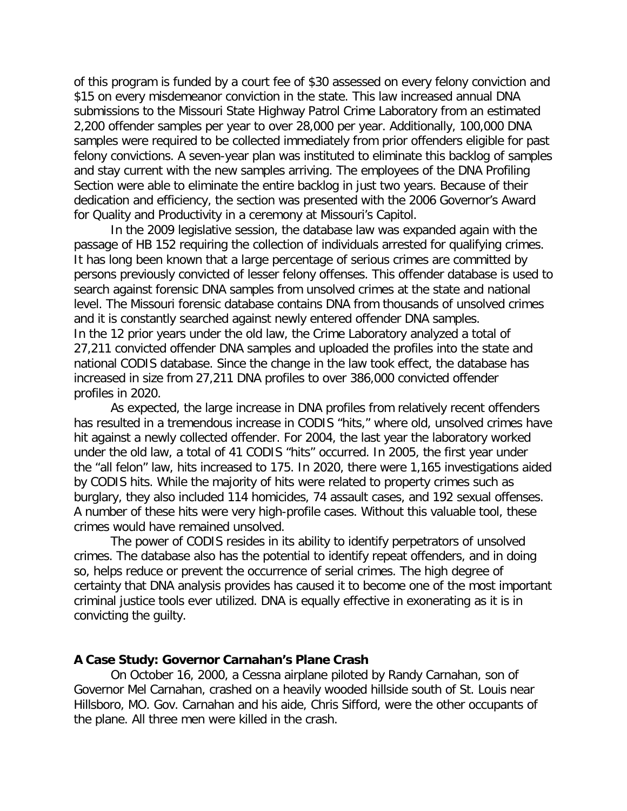of this program is funded by a court fee of \$30 assessed on every felony conviction and \$15 on every misdemeanor conviction in the state. This law increased annual DNA submissions to the Missouri State Highway Patrol Crime Laboratory from an estimated 2,200 offender samples per year to over 28,000 per year. Additionally, 100,000 DNA samples were required to be collected immediately from prior offenders eligible for past felony convictions. A seven-year plan was instituted to eliminate this backlog of samples and stay current with the new samples arriving. The employees of the DNA Profiling Section were able to eliminate the entire backlog in just two years. Because of their dedication and efficiency, the section was presented with the 2006 Governor's Award for Quality and Productivity in a ceremony at Missouri's Capitol.

In the 2009 legislative session, the database law was expanded again with the passage of HB 152 requiring the collection of individuals arrested for qualifying crimes. It has long been known that a large percentage of serious crimes are committed by persons previously convicted of lesser felony offenses. This offender database is used to search against forensic DNA samples from unsolved crimes at the state and national level. The Missouri forensic database contains DNA from thousands of unsolved crimes and it is constantly searched against newly entered offender DNA samples. In the 12 prior years under the old law, the Crime Laboratory analyzed a total of 27,211 convicted offender DNA samples and uploaded the profiles into the state and national CODIS database. Since the change in the law took effect, the database has increased in size from 27,211 DNA profiles to over 386,000 convicted offender profiles in 2020.

As expected, the large increase in DNA profiles from relatively recent offenders has resulted in a tremendous increase in CODIS "hits," where old, unsolved crimes have hit against a newly collected offender. For 2004, the last year the laboratory worked under the old law, a total of 41 CODIS "hits" occurred. In 2005, the first year under the "all felon" law, hits increased to 175. In 2020, there were 1,165 investigations aided by CODIS hits. While the majority of hits were related to property crimes such as burglary, they also included 114 homicides, 74 assault cases, and 192 sexual offenses. A number of these hits were very high-profile cases. Without this valuable tool, these crimes would have remained unsolved.

The power of CODIS resides in its ability to identify perpetrators of unsolved crimes. The database also has the potential to identify repeat offenders, and in doing so, helps reduce or prevent the occurrence of serial crimes. The high degree of certainty that DNA analysis provides has caused it to become one of the most important criminal justice tools ever utilized. DNA is equally effective in exonerating as it is in convicting the guilty.

## **A Case Study: Governor Carnahan's Plane Crash**

On October 16, 2000, a Cessna airplane piloted by Randy Carnahan, son of Governor Mel Carnahan, crashed on a heavily wooded hillside south of St. Louis near Hillsboro, MO. Gov. Carnahan and his aide, Chris Sifford, were the other occupants of the plane. All three men were killed in the crash.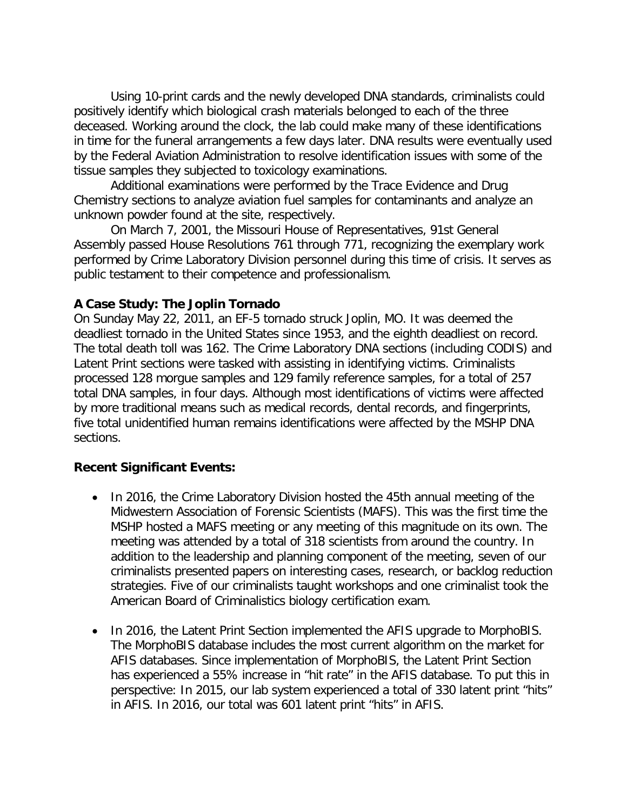Using 10-print cards and the newly developed DNA standards, criminalists could positively identify which biological crash materials belonged to each of the three deceased. Working around the clock, the lab could make many of these identifications in time for the funeral arrangements a few days later. DNA results were eventually used by the Federal Aviation Administration to resolve identification issues with some of the tissue samples they subjected to toxicology examinations.

Additional examinations were performed by the Trace Evidence and Drug Chemistry sections to analyze aviation fuel samples for contaminants and analyze an unknown powder found at the site, respectively.

On March 7, 2001, the Missouri House of Representatives, 91st General Assembly passed House Resolutions 761 through 771, recognizing the exemplary work performed by Crime Laboratory Division personnel during this time of crisis. It serves as public testament to their competence and professionalism.

# **A Case Study: The Joplin Tornado**

On Sunday May 22, 2011, an EF-5 tornado struck Joplin, MO. It was deemed the deadliest tornado in the United States since 1953, and the eighth deadliest on record. The total death toll was 162. The Crime Laboratory DNA sections (including CODIS) and Latent Print sections were tasked with assisting in identifying victims. Criminalists processed 128 morgue samples and 129 family reference samples, for a total of 257 total DNA samples, in four days. Although most identifications of victims were affected by more traditional means such as medical records, dental records, and fingerprints, five total unidentified human remains identifications were affected by the MSHP DNA sections.

# **Recent Significant Events:**

- In 2016, the Crime Laboratory Division hosted the 45th annual meeting of the Midwestern Association of Forensic Scientists (MAFS). This was the first time the MSHP hosted a MAFS meeting or any meeting of this magnitude on its own. The meeting was attended by a total of 318 scientists from around the country. In addition to the leadership and planning component of the meeting, seven of our criminalists presented papers on interesting cases, research, or backlog reduction strategies. Five of our criminalists taught workshops and one criminalist took the American Board of Criminalistics biology certification exam.
- In 2016, the Latent Print Section implemented the AFIS upgrade to MorphoBIS. The MorphoBIS database includes the most current algorithm on the market for AFIS databases. Since implementation of MorphoBIS, the Latent Print Section has experienced a 55% increase in "hit rate" in the AFIS database. To put this in perspective: In 2015, our lab system experienced a total of 330 latent print "hits" in AFIS. In 2016, our total was 601 latent print "hits" in AFIS.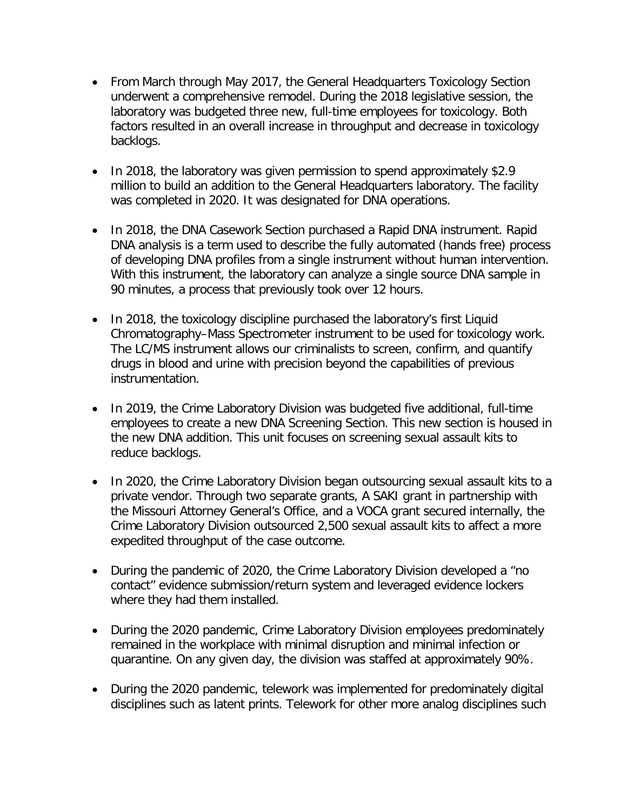- From March through May 2017, the General Headquarters Toxicology Section underwent a comprehensive remodel. During the 2018 legislative session, the laboratory was budgeted three new, full-time employees for toxicology. Both factors resulted in an overall increase in throughput and decrease in toxicology backlogs.
- In 2018, the laboratory was given permission to spend approximately \$2.9 million to build an addition to the General Headquarters laboratory. The facility was completed in 2020. It was designated for DNA operations.
- In 2018, the DNA Casework Section purchased a Rapid DNA instrument. Rapid DNA analysis is a term used to describe the fully automated (hands free) process of developing DNA profiles from a single instrument without human intervention. With this instrument, the laboratory can analyze a single source DNA sample in 90 minutes, a process that previously took over 12 hours.
- In 2018, the toxicology discipline purchased the laboratory's first Liquid Chromatography–Mass Spectrometer instrument to be used for toxicology work. The LC/MS instrument allows our criminalists to screen, confirm, and quantify drugs in blood and urine with precision beyond the capabilities of previous instrumentation.
- In 2019, the Crime Laboratory Division was budgeted five additional, full-time employees to create a new DNA Screening Section. This new section is housed in the new DNA addition. This unit focuses on screening sexual assault kits to reduce backlogs.
- In 2020, the Crime Laboratory Division began outsourcing sexual assault kits to a private vendor. Through two separate grants, A SAKI grant in partnership with the Missouri Attorney General's Office, and a VOCA grant secured internally, the Crime Laboratory Division outsourced 2,500 sexual assault kits to affect a more expedited throughput of the case outcome.
- During the pandemic of 2020, the Crime Laboratory Division developed a "no contact" evidence submission/return system and leveraged evidence lockers where they had them installed.
- During the 2020 pandemic, Crime Laboratory Division employees predominately remained in the workplace with minimal disruption and minimal infection or quarantine. On any given day, the division was staffed at approximately 90%.
- During the 2020 pandemic, telework was implemented for predominately digital disciplines such as latent prints. Telework for other more analog disciplines such